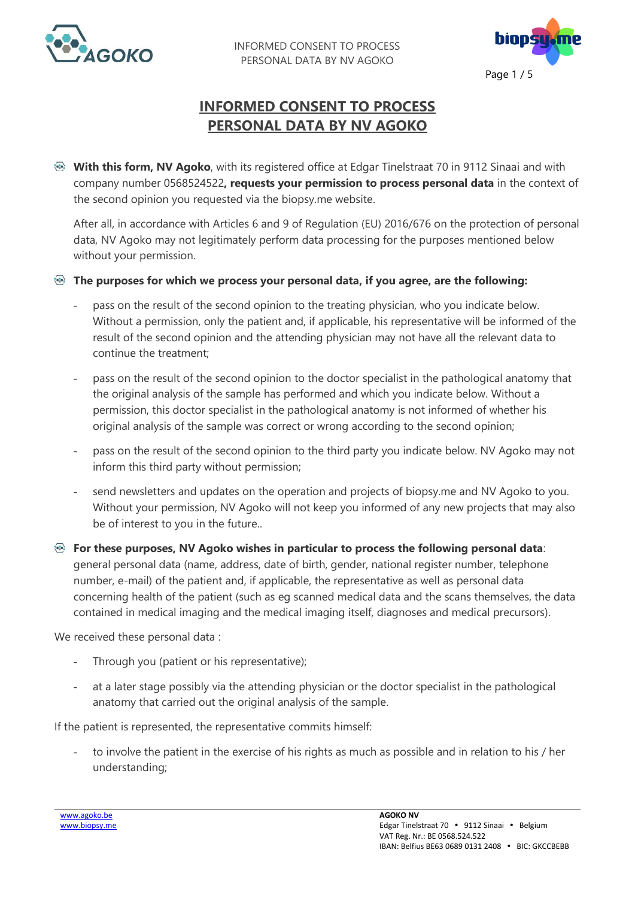



## **INFORMED CONSENT TO PROCESS PERSONAL DATA BY NV AGOKO**

**With this form, NV Agoko**, with its registered office at Edgar Tinelstraat 70 in 9112 Sinaai and with company number 0568524522**, requests your permission to process personal data** in the context of the second opinion you requested via the biopsy.me website.

After all, in accordance with Articles 6 and 9 of Regulation (EU) 2016/676 on the protection of personal data, NV Agoko may not legitimately perform data processing for the purposes mentioned below without your permission.

- **The purposes for which we process your personal data, if you agree, are the following:**
	- pass on the result of the second opinion to the treating physician, who you indicate below. Without a permission, only the patient and, if applicable, his representative will be informed of the result of the second opinion and the attending physician may not have all the relevant data to continue the treatment;
	- pass on the result of the second opinion to the doctor specialist in the pathological anatomy that the original analysis of the sample has performed and which you indicate below. Without a permission, this doctor specialist in the pathological anatomy is not informed of whether his original analysis of the sample was correct or wrong according to the second opinion;
	- pass on the result of the second opinion to the third party you indicate below. NV Agoko may not inform this third party without permission;
	- send newsletters and updates on the operation and projects of biopsy.me and NV Agoko to you. Without your permission, NV Agoko will not keep you informed of any new projects that may also be of interest to you in the future..
- **For these purposes, NV Agoko wishes in particular to process the following personal data**: general personal data (name, address, date of birth, gender, national register number, telephone number, e-mail) of the patient and, if applicable, the representative as well as personal data concerning health of the patient (such as eg scanned medical data and the scans themselves, the data contained in medical imaging and the medical imaging itself, diagnoses and medical precursors).

We received these personal data :

- Through you (patient or his representative);
- at a later stage possibly via the attending physician or the doctor specialist in the pathological anatomy that carried out the original analysis of the sample.

If the patient is represented, the representative commits himself:

to involve the patient in the exercise of his rights as much as possible and in relation to his / her understanding;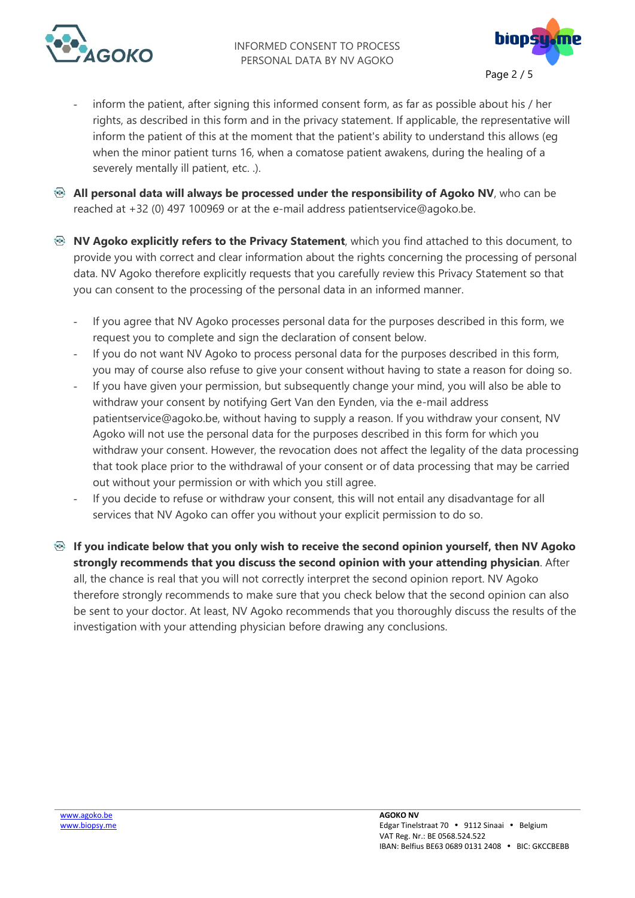



- inform the patient, after signing this informed consent form, as far as possible about his / her rights, as described in this form and in the privacy statement. If applicable, the representative will inform the patient of this at the moment that the patient's ability to understand this allows (eg when the minor patient turns 16, when a comatose patient awakens, during the healing of a severely mentally ill patient, etc. .).
- **All personal data will always be processed under the responsibility of Agoko NV**, who can be reached at +32 (0) 497 100969 or at the e-mail address patientservice@agoko.be.
- **NV Agoko explicitly refers to the Privacy Statement**, which you find attached to this document, to provide you with correct and clear information about the rights concerning the processing of personal data. NV Agoko therefore explicitly requests that you carefully review this Privacy Statement so that you can consent to the processing of the personal data in an informed manner.
	- If you agree that NV Agoko processes personal data for the purposes described in this form, we request you to complete and sign the declaration of consent below.
	- If you do not want NV Agoko to process personal data for the purposes described in this form, you may of course also refuse to give your consent without having to state a reason for doing so.
	- If you have given your permission, but subsequently change your mind, you will also be able to withdraw your consent by notifying Gert Van den Eynden, via the e-mail address patientservice@agoko.be, without having to supply a reason. If you withdraw your consent, NV Agoko will not use the personal data for the purposes described in this form for which you withdraw your consent. However, the revocation does not affect the legality of the data processing that took place prior to the withdrawal of your consent or of data processing that may be carried out without your permission or with which you still agree.
	- If you decide to refuse or withdraw your consent, this will not entail any disadvantage for all services that NV Agoko can offer you without your explicit permission to do so.
- **If you indicate below that you only wish to receive the second opinion yourself, then NV Agoko strongly recommends that you discuss the second opinion with your attending physician**. After all, the chance is real that you will not correctly interpret the second opinion report. NV Agoko therefore strongly recommends to make sure that you check below that the second opinion can also be sent to your doctor. At least, NV Agoko recommends that you thoroughly discuss the results of the investigation with your attending physician before drawing any conclusions.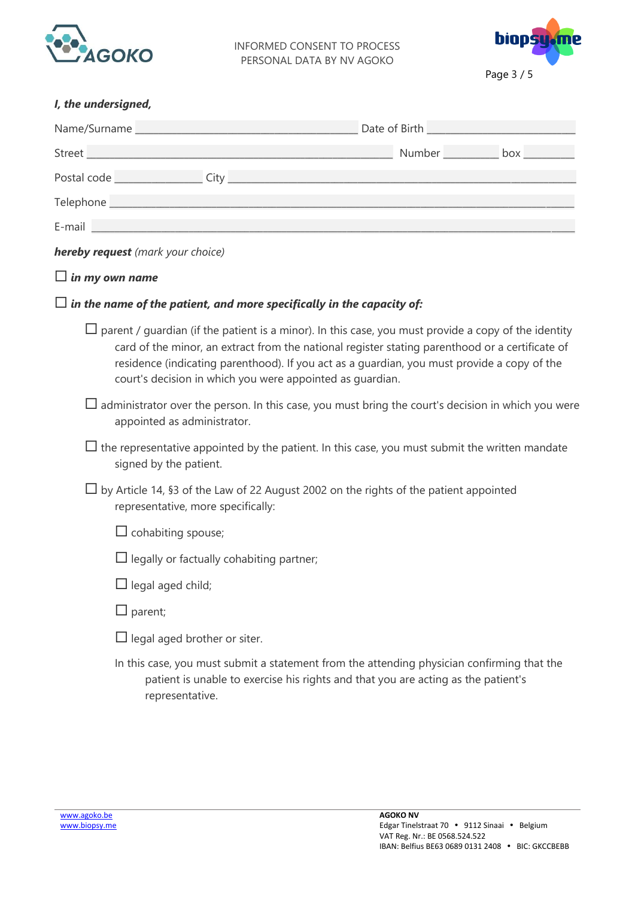

INFORMED CONSENT TO PROCESS PERSONAL DATA BY NV AGOKO



| I, the undersigned,                                                                                                                                                                                |                                                                                                                                                                                                                                                                                                                                                                            |  |  |  |
|----------------------------------------------------------------------------------------------------------------------------------------------------------------------------------------------------|----------------------------------------------------------------------------------------------------------------------------------------------------------------------------------------------------------------------------------------------------------------------------------------------------------------------------------------------------------------------------|--|--|--|
|                                                                                                                                                                                                    |                                                                                                                                                                                                                                                                                                                                                                            |  |  |  |
|                                                                                                                                                                                                    |                                                                                                                                                                                                                                                                                                                                                                            |  |  |  |
|                                                                                                                                                                                                    |                                                                                                                                                                                                                                                                                                                                                                            |  |  |  |
|                                                                                                                                                                                                    |                                                                                                                                                                                                                                                                                                                                                                            |  |  |  |
|                                                                                                                                                                                                    |                                                                                                                                                                                                                                                                                                                                                                            |  |  |  |
| hereby request (mark your choice)                                                                                                                                                                  |                                                                                                                                                                                                                                                                                                                                                                            |  |  |  |
| $\square$ in my own name                                                                                                                                                                           |                                                                                                                                                                                                                                                                                                                                                                            |  |  |  |
| $\Box$ in the name of the patient, and more specifically in the capacity of:                                                                                                                       |                                                                                                                                                                                                                                                                                                                                                                            |  |  |  |
|                                                                                                                                                                                                    | $\Box$ parent / guardian (if the patient is a minor). In this case, you must provide a copy of the identity<br>card of the minor, an extract from the national register stating parenthood or a certificate of<br>residence (indicating parenthood). If you act as a guardian, you must provide a copy of the<br>court's decision in which you were appointed as guardian. |  |  |  |
| $\Box$ administrator over the person. In this case, you must bring the court's decision in which you were<br>appointed as administrator.                                                           |                                                                                                                                                                                                                                                                                                                                                                            |  |  |  |
| $\Box$ the representative appointed by the patient. In this case, you must submit the written mandate<br>signed by the patient.                                                                    |                                                                                                                                                                                                                                                                                                                                                                            |  |  |  |
| $\Box$ by Article 14, §3 of the Law of 22 August 2002 on the rights of the patient appointed<br>representative, more specifically:                                                                 |                                                                                                                                                                                                                                                                                                                                                                            |  |  |  |
| $\Box$ cohabiting spouse;                                                                                                                                                                          |                                                                                                                                                                                                                                                                                                                                                                            |  |  |  |
| $\Box$ legally or factually cohabiting partner;                                                                                                                                                    |                                                                                                                                                                                                                                                                                                                                                                            |  |  |  |
| $\Box$ legal aged child;                                                                                                                                                                           |                                                                                                                                                                                                                                                                                                                                                                            |  |  |  |
| $\Box$ parent;                                                                                                                                                                                     |                                                                                                                                                                                                                                                                                                                                                                            |  |  |  |
| $\Box$ legal aged brother or siter.                                                                                                                                                                |                                                                                                                                                                                                                                                                                                                                                                            |  |  |  |
| In this case, you must submit a statement from the attending physician confirming that the<br>patient is unable to exercise his rights and that you are acting as the patient's<br>representative. |                                                                                                                                                                                                                                                                                                                                                                            |  |  |  |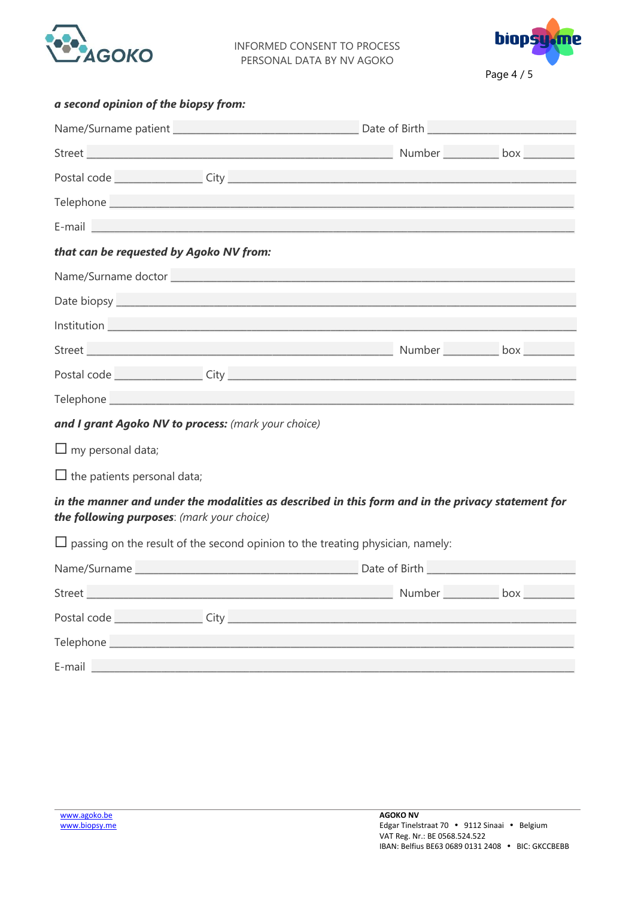

INFORMED CONSENT TO PROCESS PERSONAL DATA BY NV AGOKO



|  |  | a second opinion of the biopsy from: |  |  |  |
|--|--|--------------------------------------|--|--|--|
|--|--|--------------------------------------|--|--|--|

| E-mail and the contract of the contract of the contract of the contract of the contract of the contract of the                                  |  |  |  |  |  |
|-------------------------------------------------------------------------------------------------------------------------------------------------|--|--|--|--|--|
| that can be requested by Agoko NV from:                                                                                                         |  |  |  |  |  |
|                                                                                                                                                 |  |  |  |  |  |
|                                                                                                                                                 |  |  |  |  |  |
|                                                                                                                                                 |  |  |  |  |  |
|                                                                                                                                                 |  |  |  |  |  |
|                                                                                                                                                 |  |  |  |  |  |
|                                                                                                                                                 |  |  |  |  |  |
| and I grant Agoko NV to process: (mark your choice)                                                                                             |  |  |  |  |  |
| $\Box$ my personal data;                                                                                                                        |  |  |  |  |  |
| $\Box$ the patients personal data;                                                                                                              |  |  |  |  |  |
| in the manner and under the modalities as described in this form and in the privacy statement for<br>the following purposes: (mark your choice) |  |  |  |  |  |
| $\Box$ passing on the result of the second opinion to the treating physician, namely:                                                           |  |  |  |  |  |
|                                                                                                                                                 |  |  |  |  |  |
|                                                                                                                                                 |  |  |  |  |  |
|                                                                                                                                                 |  |  |  |  |  |
|                                                                                                                                                 |  |  |  |  |  |
|                                                                                                                                                 |  |  |  |  |  |